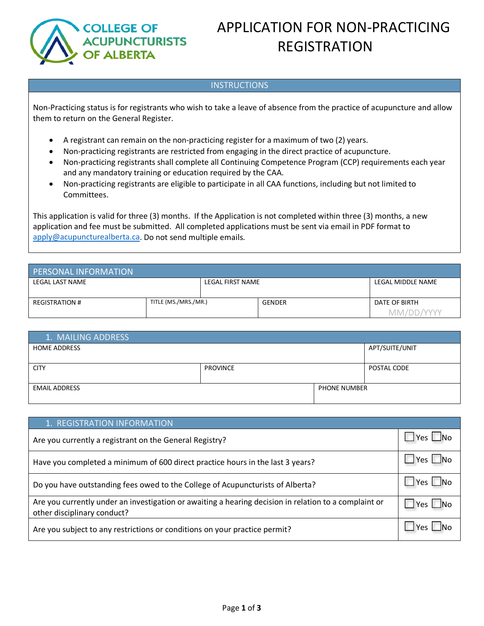

# APPLICATION FOR NON-PRACTICING REGISTRATION

### INSTRUCTIONS

Non-Practicing status is for registrants who wish to take a leave of absence from the practice of acupuncture and allow them to return on the General Register.

- A registrant can remain on the non-practicing register for a maximum of two (2) years.
- Non-practicing registrants are restricted from engaging in the direct practice of acupuncture.
- Non-practicing registrants shall complete all Continuing Competence Program (CCP) requirements each year and any mandatory training or education required by the CAA.
- Non-practicing registrants are eligible to participate in all CAA functions, including but not limited to Committees.

This application is valid for three (3) months. If the Application is not completed within three (3) months, a new application and fee must be submitted. All completed applications must be sent via email in PDF format to [apply@acupuncturealberta.ca.](mailto:apply@acupuncturealberta.ca) Do not send multiple emails.

| <b>PERSONAL INFORMATION</b> |                      |                  |               |                   |                             |
|-----------------------------|----------------------|------------------|---------------|-------------------|-----------------------------|
| LEGAL LAST NAME             |                      | LEGAL FIRST NAME |               | LEGAL MIDDLE NAME |                             |
| <b>REGISTRATION #</b>       | TITLE (MS./MRS./MR.) |                  | <b>GENDER</b> |                   | DATE OF BIRTH<br>MM/DD/YYYY |

| 1. MAILING ADDRESS   |                 |                     |                |
|----------------------|-----------------|---------------------|----------------|
| <b>HOME ADDRESS</b>  |                 |                     | APT/SUITE/UNIT |
|                      |                 |                     |                |
| <b>CITY</b>          | <b>PROVINCE</b> |                     | POSTAL CODE    |
|                      |                 |                     |                |
| <b>EMAIL ADDRESS</b> |                 | <b>PHONE NUMBER</b> |                |
|                      |                 |                     |                |

| 1. REGISTRATION INFORMATION                                                                                                          |               |
|--------------------------------------------------------------------------------------------------------------------------------------|---------------|
| Are you currently a registrant on the General Registry?                                                                              | ⊿Yes ∟No      |
| Have you completed a minimum of 600 direct practice hours in the last 3 years?                                                       | J Yes ∟No     |
| Do you have outstanding fees owed to the College of Acupuncturists of Alberta?                                                       | $Yes \Box No$ |
| Are you currently under an investigation or awaiting a hearing decision in relation to a complaint or<br>other disciplinary conduct? |               |
| Are you subject to any restrictions or conditions on your practice permit?                                                           | Yes I         |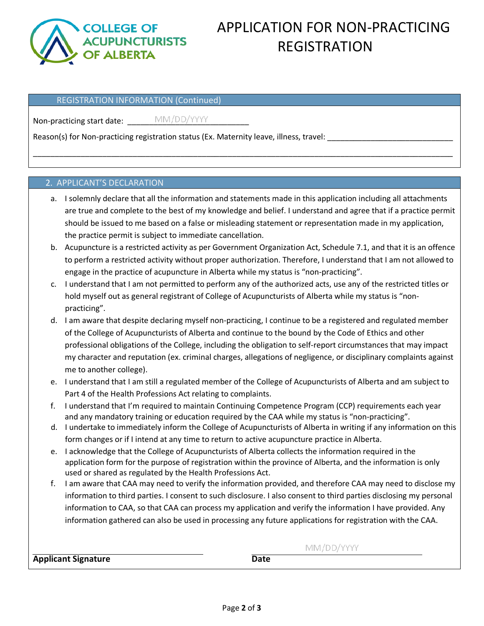

# APPLICATION FOR NON-PRACTICING REGISTRATION

#### REGISTRATION INFORMATION (Continued)

Non-practicing start date: \_\_\_\_\_\_\_\_\_\_\_\_\_\_\_\_\_\_\_\_\_\_\_\_\_\_\_\_

Reason(s) for Non-practicing registration status (Ex. Maternity leave, illness, travel:

#### 2. APPLICANT'S DECLARATION

a. I solemnly declare that all the information and statements made in this application including all attachments are true and complete to the best of my knowledge and belief. I understand and agree that if a practice permit should be issued to me based on a false or misleading statement or representation made in my application, the practice permit is subject to immediate cancellation.

\_\_\_\_\_\_\_\_\_\_\_\_\_\_\_\_\_\_\_\_\_\_\_\_\_\_\_\_\_\_\_\_\_\_\_\_\_\_\_\_\_\_\_\_\_\_\_\_\_\_\_\_\_\_\_\_\_\_\_\_\_\_\_\_\_\_\_\_\_\_\_\_\_\_\_\_\_\_\_\_\_\_\_\_\_\_\_\_\_\_\_\_\_\_\_\_\_

- b. Acupuncture is a restricted activity as per Government Organization Act, Schedule 7.1, and that it is an offence to perform a restricted activity without proper authorization. Therefore, I understand that I am not allowed to engage in the practice of acupuncture in Alberta while my status is "non-practicing".
- c. I understand that I am not permitted to perform any of the authorized acts, use any of the restricted titles or hold myself out as general registrant of College of Acupuncturists of Alberta while my status is "nonpracticing".
- d. I am aware that despite declaring myself non-practicing, I continue to be a registered and regulated member of the College of Acupuncturists of Alberta and continue to the bound by the Code of Ethics and other professional obligations of the College, including the obligation to self-report circumstances that may impact my character and reputation (ex. criminal charges, allegations of negligence, or disciplinary complaints against me to another college).
- e. I understand that I am still a regulated member of the College of Acupuncturists of Alberta and am subject to Part 4 of the Health Professions Act relating to complaints.
- f. I understand that I'm required to maintain Continuing Competence Program (CCP) requirements each year and any mandatory training or education required by the CAA while my status is "non-practicing".
- d. I undertake to immediately inform the College of Acupuncturists of Alberta in writing if any information on this form changes or if I intend at any time to return to active acupuncture practice in Alberta.
- e. I acknowledge that the College of Acupuncturists of Alberta collects the information required in the application form for the purpose of registration within the province of Alberta, and the information is only used or shared as regulated by the Health Professions Act.
- f. I am aware that CAA may need to verify the information provided, and therefore CAA may need to disclose my information to third parties. I consent to such disclosure. I also consent to third parties disclosing my personal information to CAA, so that CAA can process my application and verify the information I have provided. Any information gathered can also be used in processing any future applications for registration with the CAA.

|                            | MM/DD/YYYY |
|----------------------------|------------|
| <b>Applicant Signature</b> | Date       |